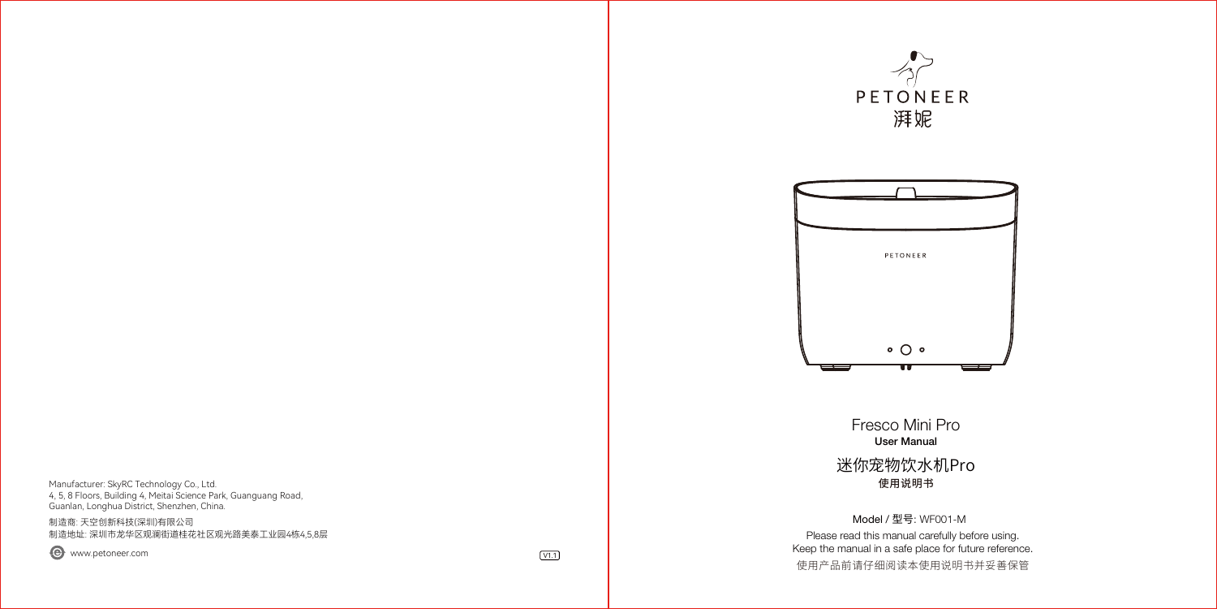Manufacturer: SkyRC Technology Co., Ltd. 4, 5, 8 Floors, Building 4, Meitai Science Park, Guanguang Road, Guanlan, Longhua District, Shenzhen, China.

制造商: 天空创新科技(深圳)有限公司 制造地址: 深圳市龙华区观澜街道桂花社区观光路美泰工业园4栋4,5,8层

 $\bigodot$  www.petoneer.com  $\bigcirc$  via  $\bigcirc$  via  $\bigcirc$  via  $\bigcirc$  via  $\bigcirc$  via  $\bigcirc$  via  $\bigcirc$  via  $\bigcirc$  via  $\bigcirc$  via  $\bigcirc$  via  $\bigcirc$  via  $\bigcirc$  via  $\bigcirc$  via  $\bigcirc$  via  $\bigcirc$  via  $\bigcirc$  via  $\bigcirc$  via  $\bigcirc$  via  $\bigcirc$  via  $\bigcirc$  v





Fresco Mini Pro User Manual 使用说明书 迷你宠物饮水机Pro

Please read this manual carefully before using. Keep the manual in a safe place for future reference. Model / 型号: WF001-M 使用广品刖请仔细阅读本使用说明书开妥善保官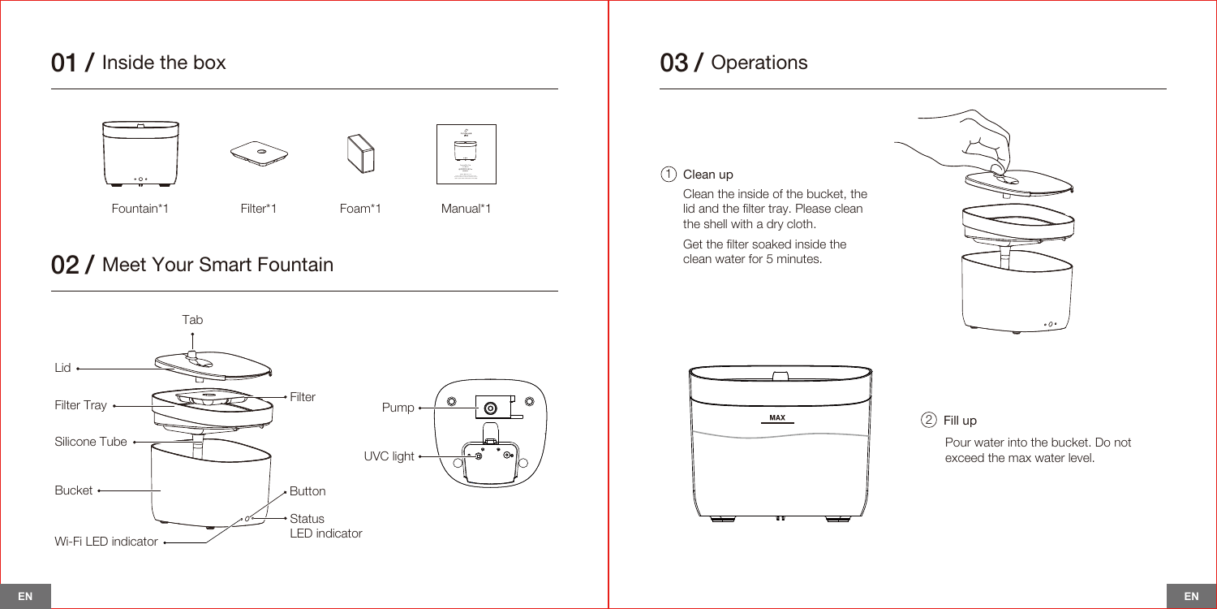## 01 / Inside the box



## 02 / Meet Your Smart Fountain



## 03 / Operations

(1) Clean up

Clean the inside of the bucket, the lid and the filter tray. Please clean the shell with a dry cloth.

Get the filter soaked inside the clean water for 5 minutes.





2 Fill up

Pour water into the bucket. Do not exceed the max water level.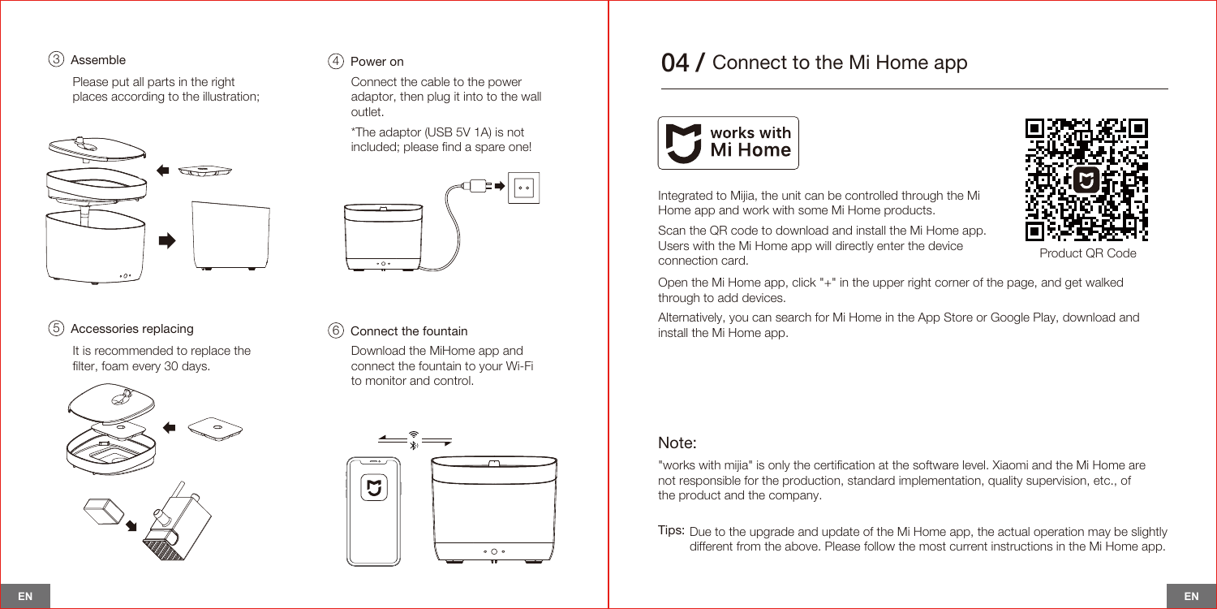#### $\textcircled{3}$  Assemble  $\textcircled{4}$  Power on

Please put all parts in the right places according to the illustration;



# $\overline{\cdots}$

outlet.

#### 5 Accessories replacing 6 Connect the fountain

It is recommended to replace the filter, foam every 30 days.



Download the MiHome app and connect the fountain to your Wi-Fi to monitor and control.

Connect the cable to the power adaptor, then plug it into to the wall

\*The adaptor (USB 5V 1A) is not included; please find a spare one!



## 04 / Connect to the Mi Home app





Integrated to Mijia, the unit can be controlled through the Mi Home app and work with some Mi Home products.

Scan the QR code to download and install the Mi Home app. Users with the Mi Home app will directly enter the device connection card.

Product QR Code

Open the Mi Home app, click "+" in the upper right corner of the page, and get walked through to add devices.

Alternatively, you can search for Mi Home in the App Store or Google Play, download and install the Mi Home app.

#### Note:

"works with mijia" is only the certification at the software level. Xiaomi and the Mi Home are not responsible for the production, standard implementation, quality supervision, etc., of the product and the company.

Tips: Due to the upgrade and update of the Mi Home app, the actual operation may be slightly different from the above. Please follow the most current instructions in the Mi Home app.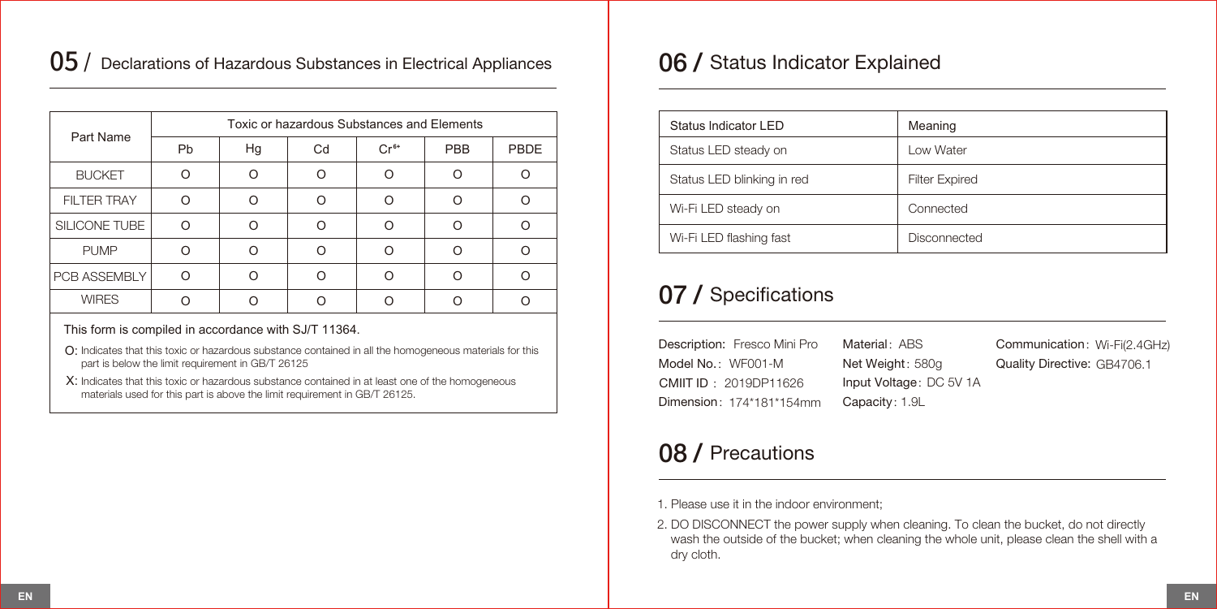## $05$  / Declarations of Hazardous Substances in Electrical Appliances

| Part Name          | Toxic or hazardous Substances and Elements |    |    |        |            |      |  |
|--------------------|--------------------------------------------|----|----|--------|------------|------|--|
|                    | Pb                                         | Hg | Cd | $Cr6+$ | <b>PBB</b> | PBDE |  |
| <b>BUCKET</b>      | ∩                                          | ∩  | ∩  | Ω      | ∩          |      |  |
| <b>FILTER TRAY</b> | ∩                                          | ∩  | ∩  | ∩      | ∩          |      |  |
| SILICONE TUBE      |                                            |    |    |        | ∩          |      |  |
| <b>PUMP</b>        |                                            |    | ∩  | ∩      | ∩          |      |  |
| PCB ASSEMBLY       | ∩                                          | ∩  | ∩  | ∩      | ∩          |      |  |
| <b>WIRES</b>       |                                            |    |    |        |            |      |  |

#### This form is compiled in accordance with SJ/T 11364.

- O: Indicates that this toxic or hazardous substance contained in all the homogeneous materials for this part is below the limit requirement in GB/T 26125
- $X$ : Indicates that this toxic or hazardous substance contained in at least one of the homogeneous materials used for this part is above the limit requirement in GB/T 26125.

## 06 / Status Indicator Explained

| Status Indicator LED       | Meaning               |
|----------------------------|-----------------------|
| Status LED steady on       | Low Water             |
| Status LED blinking in red | <b>Filter Expired</b> |
| Wi-Fi LED steady on        | Connected             |
| Wi-Fi LED flashing fast    | Disconnected          |

## 07 / Specifications

Description: Fresco Mini Pro Model No.: WF001-M Dimension:174\*181\*154mm Material: ABS Net Weight: 580g Input Voltage: DC 5V 1A Capacity:1.9L Communication: Wi-Fi(2.4GHz) Quality Directive: GB4706.1 CMIIT ID :2019DP11626

## 08 / Precautions

1. Please use it in the indoor environment;

2. DO DISCONNECT the power supply when cleaning. To clean the bucket, do not directly wash the outside of the bucket; when cleaning the whole unit, please clean the shell with a dry cloth.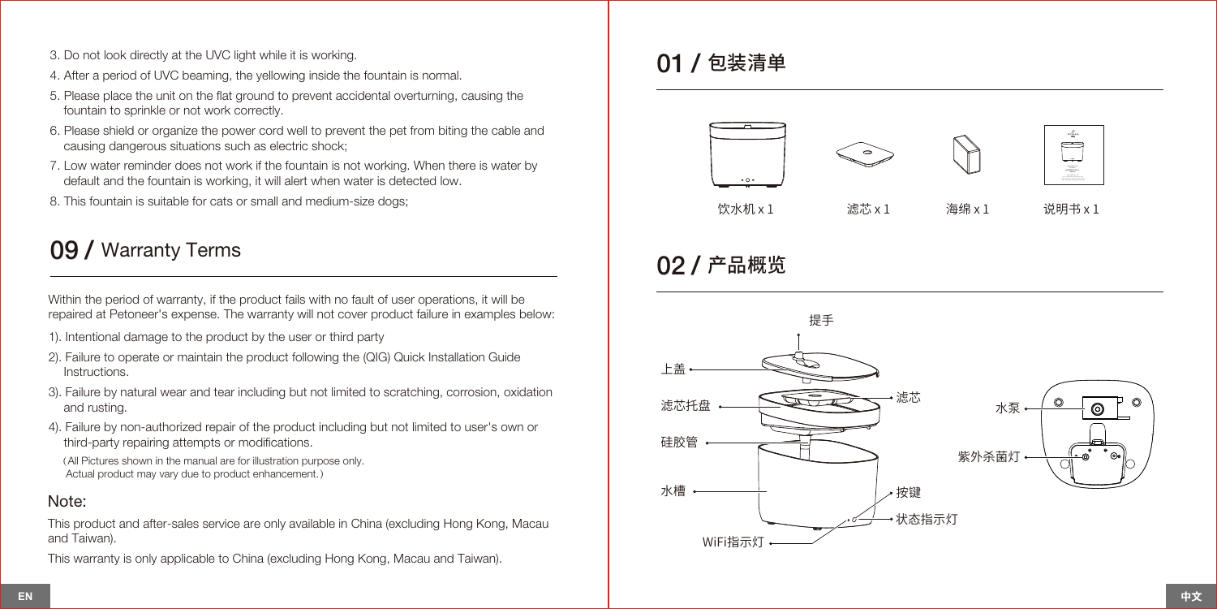- 3. Do not look directly at the UVC light while it is working.
- 4. After a period of UVC beaming, the yellowing inside the fountain is normal.
- 5. Please place the unit on the flat ground to prevent accidental overturning, causing the fountain to sprinkle or not work correctly.
- 6. Please shield or organize the power cord well to prevent the pet from biting the cable and causing dangerous situations such as electric shock;
- 7. Low water reminder does not work if the fountain is not working. When there is water by default and the fountain is working, it will alert when water is detected low.
- 8. This fountain is suitable for cats or small and medium-size dogs;

## 09 / Warranty Terms

Within the period of warranty, if the product fails with no fault of user operations, it will be repaired at Petoneer's expense. The warranty will not cover product failure in examples below:

- 1). Intentional damage to the product by the user or third party
- 2). Failure to operate or maintain the product following the (QIG) Quick Installation Guide Instructions.
- 3). Failure by natural wear and tear including but not limited to scratching, corrosion, oxidation and rusting.
- 4). Failure by non-authorized repair of the product including but not limited to user's own or third-party repairing attempts or modifications.

(All Pictures shown in the manual are for illustration purpose only. Actual product may vary due to product enhancement.)

#### Note:

This product and after-sales service are only available in China (excluding Hong Kong, Macau and Taiwan).

This warranty is only applicable to China (excluding Hong Kong, Macau and Taiwan).

## 01 / 包装清单



## 02 / 产品概览

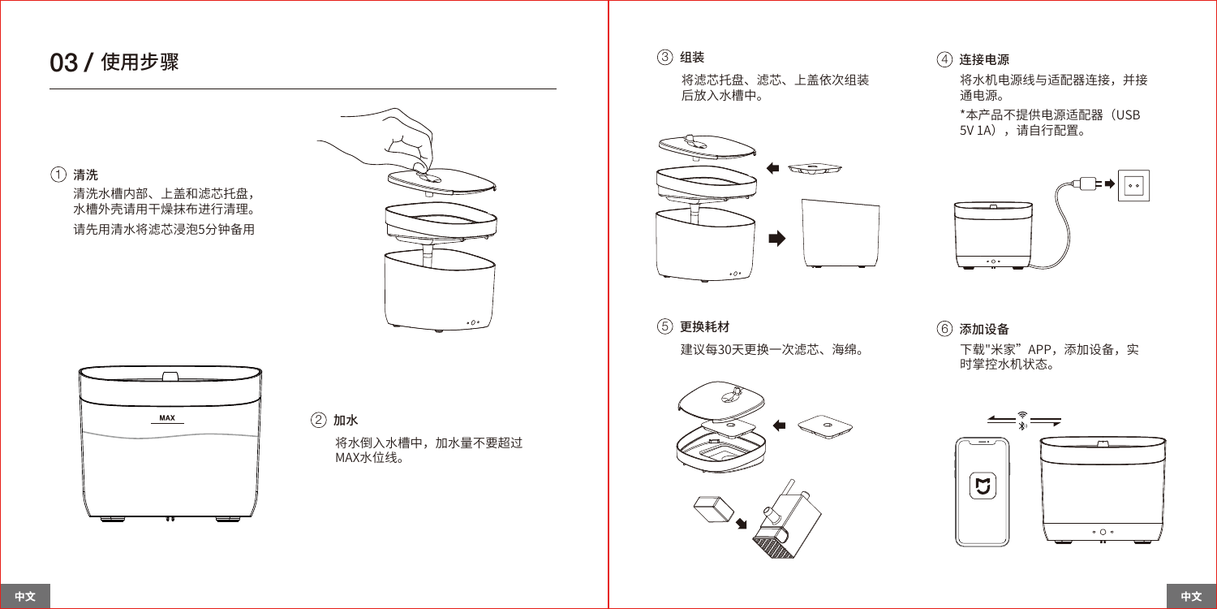## 03 / 使用步骤

1 清洗 清洗水槽内部、上盖和滤芯托盘, 水槽外壳请用干燥抹布进行清理。 请先用清水将滤芯浸泡5分钟备用





将水倒入水槽中,加水量不要超过 MAX水位线。 2 加水

将滤芯托盘、滤芯、上盖依次组装 后放入水槽中。



建议每30天更换一次滤芯、海绵。 下载"米家" APP,添加设备,实  $(5)$ 更换耗材  $(6)$ 添加设备



### $\left( \begin{matrix} 3 \end{matrix} \right)$  组装 and the contract of the contract of the contract of the contract of the contract of the contract of the contract of the contract of the contract of the contract of the contract of the contract of

将水机电源线与适配器连接,并接 通电源。

\*本产品不提供电源适配器(USB 5V 1A),请自行配置。



时掌控水机状态。

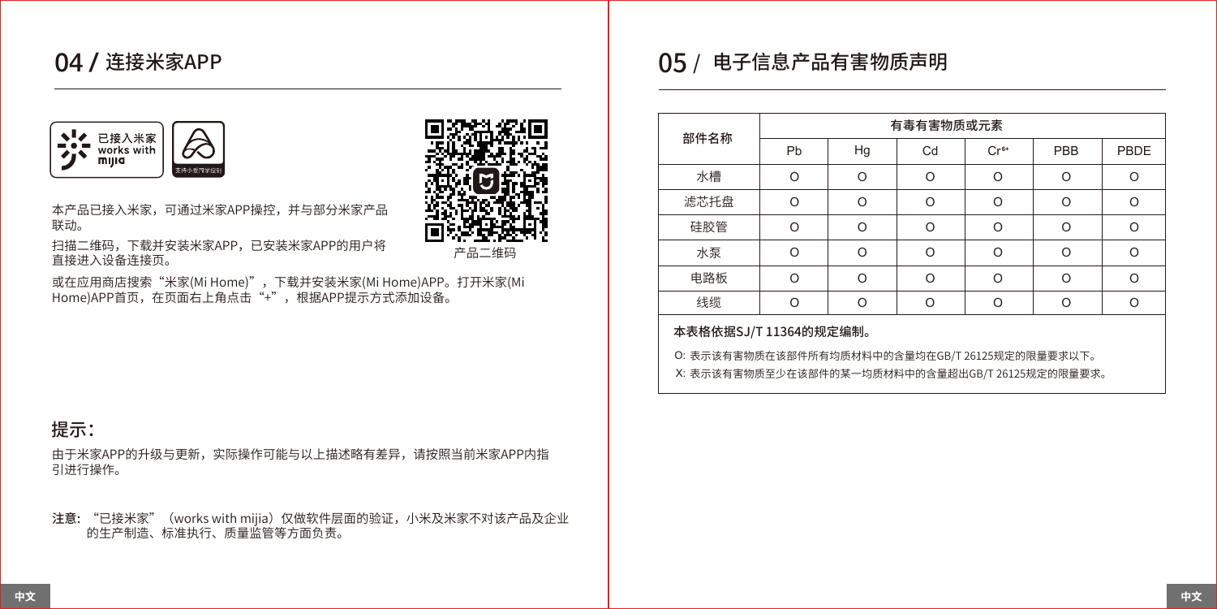## 04 / 连接米家APP



本产品已接入米家,可通过米家APP操控,并与部分米家产品 联动。

扫描二维码,下载并安装米家APP,已安装米家APP的用户将 直接进入设备连接页。

或在应用商店搜索"米家(Mi Home)",下载并安装米家(Mi Home)APP。打开米家(Mi Home)APP首页, 在页面右上角点击"+", 根据APP提示方式添加设备。

维和

### 提示:

由于米家APP的升级与更新,实际操作可能与以上描述略有差异,请按照当前米家APP内指 引进行操作。

注意: "已接米家"(works with mijia)仅做软件层面的验证,小米及米家不对该产品及企业 的生产制造、标准执行、质量监管等方面负责。

## <mark>05</mark> / 电子信息产品有害物质声明

| 部件名称 | 有毒有害物质或元素 |    |    |        |     |      |  |
|------|-----------|----|----|--------|-----|------|--|
|      | Pb        | Hg | Cd | $Cr6+$ | PBB | PBDE |  |
| 水槽   | Ω         | റ  | റ  | ∩      |     |      |  |
| 滤芯托盘 | $\Omega$  | ∩  | Ω  | ∩      | ∩   | ∩    |  |
| 硅胶管  | ∩         | ∩  | ∩  | ∩      |     |      |  |
| 水泵   | ∩         | ∩  | റ  | ∩      |     |      |  |
| 电路板  | $\Omega$  | ∩  | ∩  | Ω      | ∩   | ∩    |  |
| 线缆   |           |    |    |        |     |      |  |

#### 本表格依据SJ/T 11364的规定编制。

表示该有害物质在该部件所有均质材料中的含量均在GB/T 26125规定的限量要求以下。 O: 表示该有害物质至少在该部件的某一均质材料中的含量超出GB/T 26125规定的限量要求。 X: